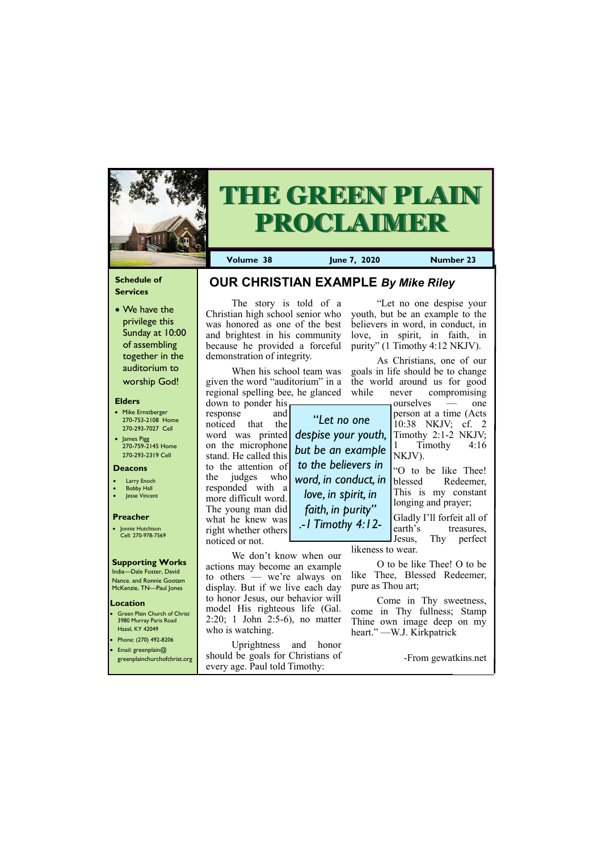#### **Schedule of Services**

• We have the privilege this Sunday at 10:00 of assembling together in the auditorium to worship God!

#### **Elders**

**Green Plain Church of Christ** 3980 Murray Paris Road Hazel, KY 42049 • Phone: (270) 492-8206

- Mike Ernstberger 270-753-2108 Home 270-293-7027 Cell
- James Pigg 270-759-2145 Home 270-293-2319 Cell



# **THE GREEN PLAIN PROCLAIMER**

#### **Location**

**Volume 38 June 7, 2020 Number 23**

#### **Deacons**

- **Larry Enoch**
- **Bobby Hall**
- **Jesse Vincent**

#### **Preacher**

• Jonnie Hutchison Cell: 270-978-7569

#### **Supporting Works**

India—Dale Foster, David Nance. and Ronnie Gootam McKenzie, TN—Paul Jones

The story is told of a

Christian high school senior who was honored as one of the best and brightest in his community because he provided a forceful demonstration of integrity.

As Christians, one of our goals in life should be to change the world around us for good while never compromising

When his school team was given the word "auditorium" in a regional spelling bee, he glanced

down to ponder his response and noticed that the word was printed on the microphone stand. He called this to the attention of the judges who responded with a more difficult word. The young man did what he knew was right whether others noticed or not.

who is watching.

• Email: greenplain@ greenplainchurchofchrist.org Uprightness and honor should be goals for Christians of every age. Paul told Timothy: -From gewatkins.net

actions may become an example to others — we're always on display. But if we live each day to honor Jesus, our behavior will model His righteous life (Gal. 2:20; 1 John 2:5-6), no matter

"Let no one despise your youth, but be an example to the believers in word, in conduct, in love, in spirit, in faith, in purity" (1 Timothy 4:12 NKJV).

We don't know when our likeness to wear.

ourselves — one person at a time (Acts 10:38 NKJV; cf. 2 Timothy 2:1-2 NKJV; Timothy 4:16 NKJV).

"O to be like Thee! blessed Redeemer, This is my constant longing and prayer;

Gladly I'll forfeit all of earth's treasures, Jesus, Thy perfect

O to be like Thee! O to be like Thee, Blessed Redeemer, pure as Thou art;

Come in Thy sweetness, come in Thy fullness; Stamp Thine own image deep on my heart." —W.J. Kirkpatrick

**OUR CHRISTIAN EXAMPLE** *By Mike Riley*

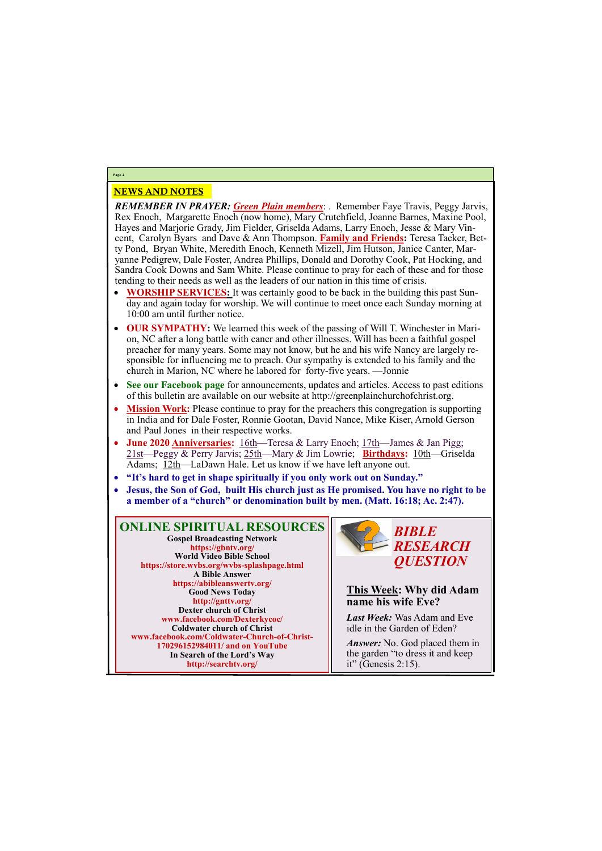## NEWS AND NOTES

*REMEMBER IN PRAYER: Green Plain members*: . Remember Faye Travis, Peggy Jarvis, Rex Enoch, Margarette Enoch (now home), Mary Crutchfield, Joanne Barnes, Maxine Pool, Hayes and Marjorie Grady, Jim Fielder, Griselda Adams, Larry Enoch, Jesse & Mary Vincent, Carolyn Byars and Dave & Ann Thompson. **Family and Friends:** Teresa Tacker, Betty Pond, Bryan White, Meredith Enoch, Kenneth Mizell, Jim Hutson, Janice Canter, Maryanne Pedigrew, Dale Foster, Andrea Phillips, Donald and Dorothy Cook, Pat Hocking, and Sandra Cook Downs and Sam White. Please continue to pray for each of these and for those tending to their needs as well as the leaders of our nation in this time of crisis.

- **WORSHIP SERVICES:** It was certainly good to be back in the building this past Sunday and again today for worship. We will continue to meet once each Sunday morning at 10:00 am until further notice.
- **OUR SYMPATHY:** We learned this week of the passing of Will T. Winchester in Marion, NC after a long battle with caner and other illnesses. Will has been a faithful gospel preacher for many years. Some may not know, but he and his wife Nancy are largely responsible for influencing me to preach. Our sympathy is extended to his family and the church in Marion, NC where he labored for forty-five years. —Jonnie
- **See our Facebook page** for announcements, updates and articles. Access to past editions of this bulletin are available on our website at http://greenplainchurchofchrist.org.
- **Mission Work:** Please continue to pray for the preachers this congregation is supporting in India and for Dale Foster, Ronnie Gootan, David Nance, Mike Kiser, Arnold Gerson and Paul Jones in their respective works.
- **June 2020 Anniversaries:** 16th—Teresa & Larry Enoch; 17th—James & Jan Pigg; 21st—Peggy & Perry Jarvis; 25th—Mary & Jim Lowrie; **Birthdays:** 10th—Griselda Adams; 12th—LaDawn Hale. Let us know if we have left anyone out.
- **"It's hard to get in shape spiritually if you only work out on Sunday."**
- **Jesus, the Son of God, built His church just as He promised. You have no right to be a member of a "church" or denomination built by men. (Matt. 16:18; Ac. 2:47).**

**Page 2**

**ONLINE SPIRITUAL RESOURCES Gospel Broadcasting Network https://gbntv.org/ World Video Bible School https://store.wvbs.org/wvbs-splashpage.html A Bible Answer https://abibleanswertv.org/ Good News Today http://gnttv.org/ Dexter church of Christ www.facebook.com/Dexterkycoc/ Coldwater church of Christ www.facebook.com/Coldwater-Church-of-Christ-**

> **170296152984011/ and on YouTube In Search of the Lord's Way http://searchtv.org/**



**This Week: Why did Adam name his wife Eve?**

*Last Week:* Was Adam and Eve idle in the Garden of Eden?

*Answer:* No. God placed them in the garden "to dress it and keep it" (Genesis 2:15).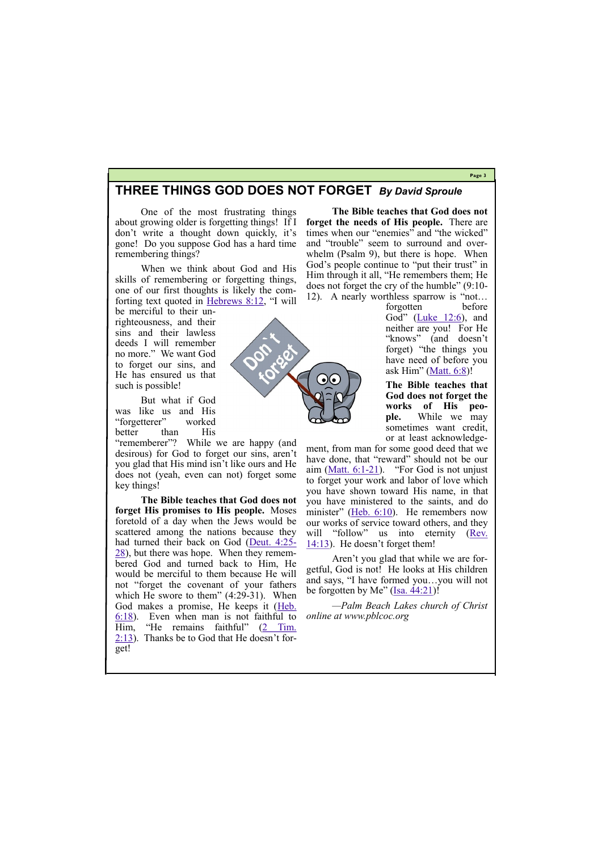#### **Page 3**

### **THREE THINGS GOD DOES NOT FORGET** *By David Sproule*

One of the most frustrating things about growing older is forgetting things! If I don't write a thought down quickly, it's gone! Do you suppose God has a hard time remembering things?

When we think about God and His skills of remembering or forgetting things, one of our first thoughts is likely the comforting text quoted in [Hebrews 8:12](https://biblia.com/bible/esv/Heb%208.12), "I will

"rememberer"? While we are happy (and desirous) for God to forget our sins, aren't you glad that His mind isn't like ours and He does not (yeah, even can not) forget some key things!

**The Bible teaches that God does not forget His promises to His people.** Moses foretold of a day when the Jews would be scattered among the nations because they had turned their back on God ([Deut. 4:25](https://biblia.com/bible/esv/Deut.%204.25-28)- [28\)](https://biblia.com/bible/esv/Deut.%204.25-28), but there was hope. When they remembered God and turned back to Him, He would be merciful to them because He will not "forget the covenant of your fathers which He swore to them"  $(4:29-31)$ . When God makes a promise, He keeps it (Heb. [6:18\).](https://biblia.com/bible/esv/Heb.%206.18) Even when man is not faithful to Him, "He remains faithful" ([2 Tim.](https://biblia.com/bible/esv/2%20Tim.%202.13)   $2:13$ ). Thanks be to God that He doesn't for-

be merciful to their unrighteousness, and their sins and their lawless deeds I will remember no more." We want God to forget our sins, and He has ensured us that such is possible!

But what if God was like us and His "forgetterer" worked better than His forgotten before God" ([Luke 12:6\)](https://biblia.com/bible/esv/Luke%2012.6), and neither are you! For He "knows" (and doesn't forget) "the things you have need of before you ask Him" ([Matt. 6:8\)](https://biblia.com/bible/esv/Matt.%206.8)!

Aren't you glad that while we are forgetful, God is not! He looks at His children and says, "I have formed you…you will not be forgotten by Me"  $(Isa. 44:21)$  $(Isa. 44:21)$ !

get!

**The Bible teaches that God does not forget the needs of His people.** There are times when our "enemies" and "the wicked" and "trouble" seem to surround and overwhelm (Psalm 9), but there is hope. When God's people continue to "put their trust" in Him through it all, "He remembers them; He does not forget the cry of the humble" (9:10- 12). A nearly worthless sparrow is "not…

> **The Bible teaches that God does not forget the works of His people.** While we may sometimes want credit, or at least acknowledge-

ment, from man for some good deed that we have done, that "reward" should not be our aim  $(Matt. 6:1-21)$  $(Matt. 6:1-21)$  $(Matt. 6:1-21)$ . "For God is not unjust to forget your work and labor of love which you have shown toward His name, in that you have ministered to the saints, and do minister" ( $\overline{Heb}$ . 6:10). He remembers now our works of service toward others, and they will "follow" us into eternity (Rev. [14:13\)](https://biblia.com/bible/esv/Rev.%2014.13). He doesn't forget them!

*—Palm Beach Lakes church of Christ online at www.pblcoc.org*